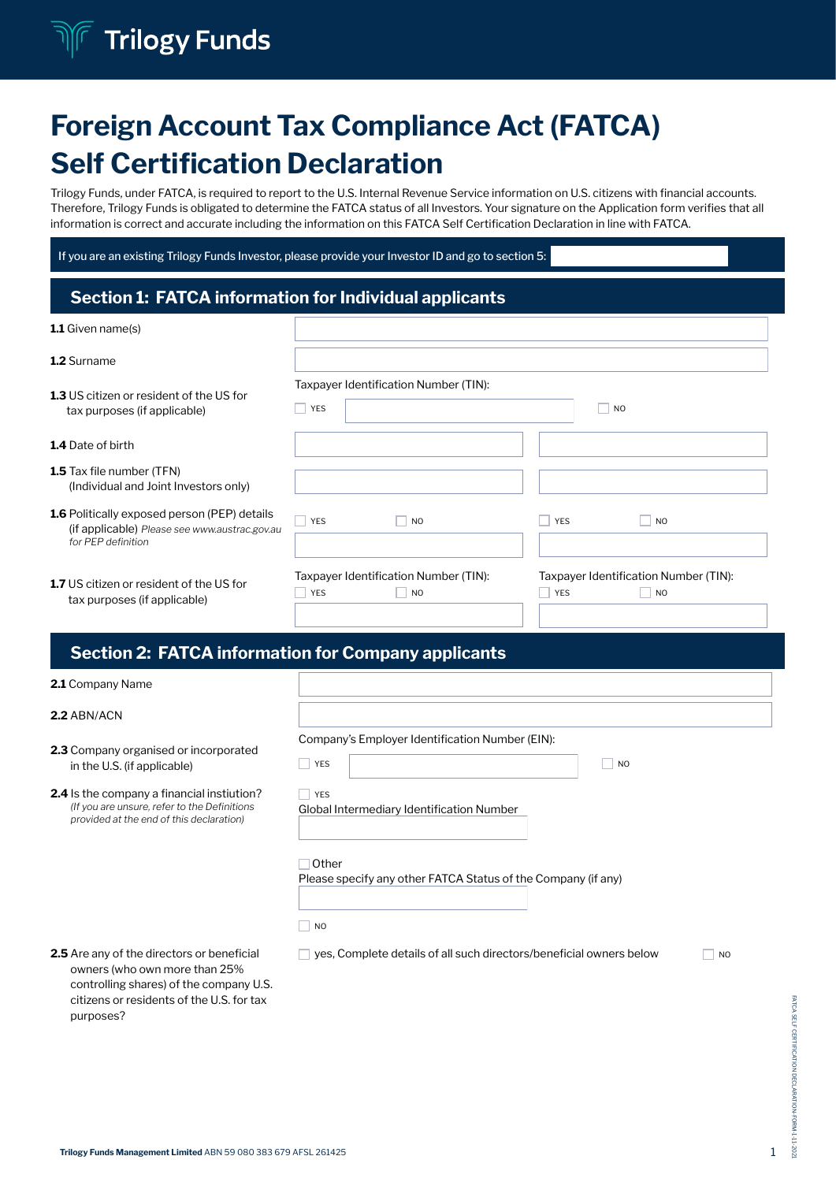# **Trilogy Funds**

# Foreign Account Tax Compliance Act (FATCA) Self Certification Declaration

Trilogy Funds, under FATCA, is required to report to the U.S. Internal Revenue Service information on U.S. citizens with financial accounts. Therefore, Trilogy Funds is obligated to determine the FATCA status of all Investors. Your signature on the Application form verifies that all information is correct and accurate including the information on this FATCA Self Certification Declaration in line with FATCA.

If you are an existing Trilogy Funds Investor, please provide your Investor ID and go to section 5:

# Section 1: FATCA information for Individual applicants

| <b>1.1</b> Given name(s)                                                                                                   |                                                           |                                                                   |
|----------------------------------------------------------------------------------------------------------------------------|-----------------------------------------------------------|-------------------------------------------------------------------|
| 1.2 Surname                                                                                                                |                                                           |                                                                   |
| 1.3 US citizen or resident of the US for<br>tax purposes (if applicable)                                                   | Taxpayer Identification Number (TIN):<br><b>YES</b>       | <b>NO</b>                                                         |
| 1.4 Date of birth                                                                                                          |                                                           |                                                                   |
| <b>1.5</b> Tax file number (TFN)<br>(Individual and Joint Investors only)                                                  |                                                           |                                                                   |
| <b>1.6</b> Politically exposed person (PEP) details<br>(if applicable) Please see www.austrac.gov.au<br>for PEP definition | <b>YES</b><br>N <sub>O</sub>                              | <b>YES</b><br><b>NO</b>                                           |
| 1.7 US citizen or resident of the US for<br>tax purposes (if applicable)                                                   | Taxpayer Identification Number (TIN):<br><b>YES</b><br>NO | Taxpayer Identification Number (TIN):<br>YES<br>$\blacksquare$ NO |

## Section 2: FATCA information for Company applicants

| 2.1 Company Name                                                                                                                                                           |                                                                                                       |  |  |
|----------------------------------------------------------------------------------------------------------------------------------------------------------------------------|-------------------------------------------------------------------------------------------------------|--|--|
| 2.2 ABN/ACN                                                                                                                                                                |                                                                                                       |  |  |
| <b>2.3</b> Company organised or incorporated<br>in the U.S. (if applicable)                                                                                                | Company's Employer Identification Number (EIN):<br>YES<br>×<br>N <sub>O</sub>                         |  |  |
| <b>2.4</b> Is the company a financial instiution?<br>(If you are unsure, refer to the Definitions<br>provided at the end of this declaration)                              | <b>YES</b><br>Global Intermediary Identification Number                                               |  |  |
|                                                                                                                                                                            | Other<br>Please specify any other FATCA Status of the Company (if any)<br>$\overline{\phantom{a}}$ NO |  |  |
| <b>2.5</b> Are any of the directors or beneficial<br>owners (who own more than 25%<br>controlling shares) of the company U.S.<br>citizens or residents of the U.S. for tax | yes, Complete details of all such directors/beneficial owners below<br>N <sub>O</sub>                 |  |  |

purposes?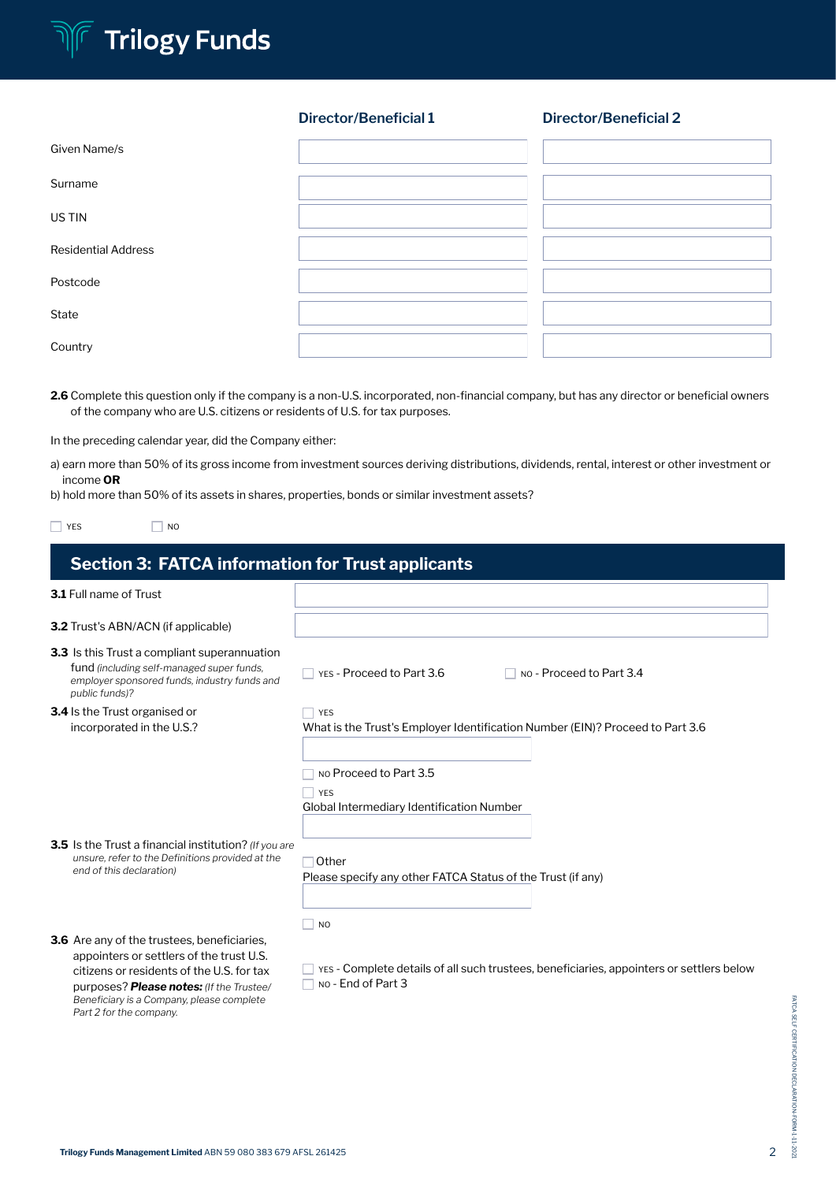

### **Director/Beneficial 1 Director/Beneficial 2**

| Given Name/s               |  |
|----------------------------|--|
| Surname                    |  |
| US TIN                     |  |
| <b>Residential Address</b> |  |
| Postcode                   |  |
| State                      |  |
| Country                    |  |

2.6 Complete this question only if the company is a non-U.S. incorporated, non-financial company, but has any director or beneficial owners of the company who are U.S. citizens or residents of U.S. for tax purposes.

In the preceding calendar year, did the Company either:

 $\Box$  NO

a) earn more than 50% of its gross income from investment sources deriving distributions, dividends, rental, interest or other investment or income OR

b) hold more than 50% of its assets in shares, properties, bonds or similar investment assets?

| 1/T |
|-----|
|-----|

| <b>Section 3: FATCA information for Trust applicants</b>                                                                                                                                |                                                                                                                                     |  |  |  |
|-----------------------------------------------------------------------------------------------------------------------------------------------------------------------------------------|-------------------------------------------------------------------------------------------------------------------------------------|--|--|--|
| <b>3.1</b> Full name of Trust                                                                                                                                                           |                                                                                                                                     |  |  |  |
| <b>3.2</b> Trust's ABN/ACN (if applicable)                                                                                                                                              |                                                                                                                                     |  |  |  |
| <b>3.3</b> Is this Trust a compliant superannuation<br>fund (including self-managed super funds,<br>employer sponsored funds, industry funds and<br>public funds)?                      | YES - Proceed to Part 3.6<br>No - Proceed to Part 3.4                                                                               |  |  |  |
| <b>3.4</b> Is the Trust organised or<br>incorporated in the U.S.?                                                                                                                       | <b>YES</b><br>What is the Trust's Employer Identification Number (EIN)? Proceed to Part 3.6<br>NO Proceed to Part 3.5<br><b>YES</b> |  |  |  |
| 3.5 Is the Trust a financial institution? (If you are<br>unsure, refer to the Definitions provided at the<br>end of this declaration)                                                   | Global Intermediary Identification Number<br>Other<br>Please specify any other FATCA Status of the Trust (if any)                   |  |  |  |
| 3.6 Are any of the trustees, beneficiaries,<br>appointers or settlers of the trust U.S.<br>citizens or residents of the U.S. for tax<br>purposes? <b>Please notes:</b> (If the Trustee/ | N <sub>O</sub><br>YES - Complete details of all such trustees, beneficiaries, appointers or settlers below<br>No - End of Part 3    |  |  |  |

*Beneficiary is a Company, please complete* 

*Part 2 for the company.*